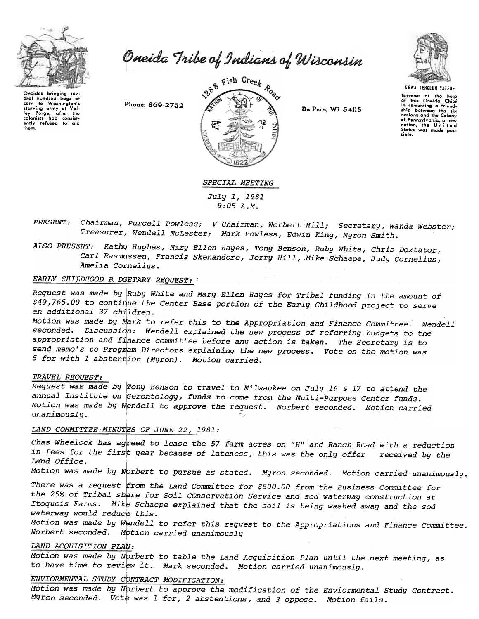

Oneida Tribe of Indians of Wisconsin

Oneidas bringing sev eral hundred  $h$ nos of corn to Washington's<br>starving army at Valstarting army at values<br>colonists had consistently refused to aid<br>them.

Phone: 869-2752



De Pere, WI 54115



Because of the help<br>of this Oneida Chief or this Oneida Chief<br>in-comenting a friend-<br>ship botween the six<br>nations and the Colony<br>of Pennsylvania, a new<br>nation, the United<br>States was made pos-<br>States was made possible.

### SPECIAL MEETING

July 1, 1981  $9:05A.M.$ 

- PRESENT: Chairman, Purcell Powless; V-Chairman, Norbert Hill; Secretary, Wanda Webster; Treasurer, Wendell McLester; Mark Powless, Edwin King, Myron Smith.
- ALSO PRESENT: Kathy Hughes, Mary Ellen Hayes, Tony Benson, Ruby White, Chris Doxtator, Carl Rasmussen, Francis Skenandore, Jerry Hill, Mike Schaepe, Judy Cornelius, Amelia Cornelius.

## EARLY CHILDHOOD B. DGETARY REQUEST:

Request was made by Ruby White and Mary Ellen Hayes for Tribal funding in the amount of \$49,765.00 to continue the Center Base portion of the Early Childhood project to serve an additional 37 children.

Motion was made by Mark to refer this to the Appropriation and Finance Committee. Wendell seconded. Discussion: Wendell explained the new process of referring budgets to the appropriation and finance committee before any action is taken. The Secretary is to send memo's to Program Directors explaining the new process. Vote on the motion was 5 for with 1 abstention (Myron). Motion carried.

#### TRAVEL REOUEST:

Request was made by Tony Benson to travel to Milwaukee on July 16 & 17 to attend the annual Institute on Gerontology, funds to come from the Multi-Purpose Center funds. Motion was made by Wendell to approve the request. Norbert seconded. Motion carried unanimously.

### LAND COMMITTEE MINUTES OF JUNE 22, 1981:

Chas Wheelock has agreed to lease the 57 farm acres on "H" and Ranch Road with a reduction in fees for the first year because of lateness, this was the only offer received by the Land Office.

Motion was made by Norbert to pursue as stated. Myron seconded. Motion carried unanimously.

There was a request from the Land Committee for \$500.00 from the Business Committee for the 25% of Tribal share for Soil COnservation Service and sod waterway construction at Itoquois Farms. Mike Schaepe explained that the soil is being washed away and the sod waterway would reduce this.

Motion was made by Wendell to refer this request to the Appropriations and Finance Committee. Norbert seconded. Motion carried unanimously

### LAND ACQUISITION PLAN:

Motion was made by Norbert to table the Land Acquisition Plan until the next meeting, as to have time to review it. Mark seconded. Motion carried unanimously.

# ENVIORMENTAL STUDY CONTRACT MODIFICATION:

Motion was made by Norbert to approve the modification of the Enviormental Study Contract. Myron seconded. Vote was 1 for, 2 abstentions, and 3 oppose. Motion fails.